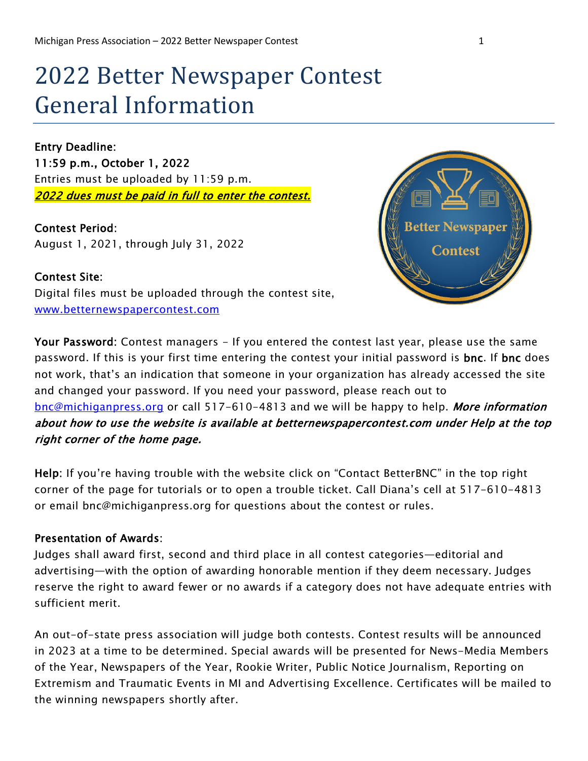# 2022 Better Newspaper Contest General Information

Entry Deadline: 11:59 p.m., October 1, 2022 Entries must be uploaded by 11:59 p.m. 2022 dues must be paid in full to enter the contest.

Contest Period: August 1, 2021, through July 31, 2022

Contest Site:



Digital files must be uploaded through the contest site, [www.betternewspapercontest.com](http://www.betternewspapercontest.com/) 

Your Password: Contest managers - If you entered the contest last year, please use the same password. If this is your first time entering the contest your initial password is **bnc**. If **bnc** does not work, that's an indication that someone in your organization has already accessed the site and changed your password. If you need your password, please reach out to [bnc@michiganpress.org](mailto:bnc@michiganpress.org) or call 517-610-4813 and we will be happy to help. More information about how to use the website is available at betternewspapercontest.com under Help at the top right corner of the home page.

Help: If you're having trouble with the website click on "Contact BetterBNC" in the top right corner of the page for tutorials or to open a trouble ticket. Call Diana's cell at 517-610-4813 or email bnc@michiganpress.org for questions about the contest or rules.

#### Presentation of Awards:

Judges shall award first, second and third place in all contest categories—editorial and advertising—with the option of awarding honorable mention if they deem necessary. Judges reserve the right to award fewer or no awards if a category does not have adequate entries with sufficient merit.

An out-of-state press association will judge both contests. Contest results will be announced in 2023 at a time to be determined. Special awards will be presented for News-Media Members of the Year, Newspapers of the Year, Rookie Writer, Public Notice Journalism, Reporting on Extremism and Traumatic Events in MI and Advertising Excellence. Certificates will be mailed to the winning newspapers shortly after.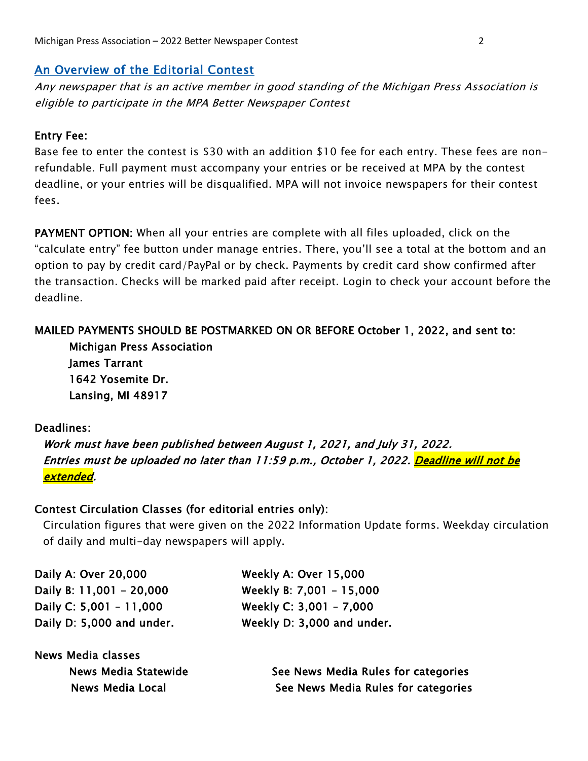## An Overview of the Editorial Contest

Any newspaper that is an active member in good standing of the Michigan Press Association is eligible to participate in the MPA Better Newspaper Contest

#### Entry Fee:

Base fee to enter the contest is \$30 with an addition \$10 fee for each entry. These fees are nonrefundable. Full payment must accompany your entries or be received at MPA by the contest deadline, or your entries will be disqualified. MPA will not invoice newspapers for their contest fees.

PAYMENT OPTION: When all your entries are complete with all files uploaded, click on the "calculate entry" fee button under manage entries. There, you'll see a total at the bottom and an option to pay by credit card/PayPal or by check. Payments by credit card show confirmed after the transaction. Checks will be marked paid after receipt. Login to check your account before the deadline.

#### MAILED PAYMENTS SHOULD BE POSTMARKED ON OR BEFORE October 1, 2022, and sent to:

Michigan Press Association James Tarrant 1642 Yosemite Dr. Lansing, MI 48917

#### Deadlines:

Work must have been published between August 1, 2021, and July 31, 2022. Entries must be uploaded no later than 11:59 p.m., October 1, 2022. <mark>Deadline will not be</mark> extended.

#### Contest Circulation Classes (for editorial entries only):

Circulation figures that were given on the 2022 Information Update forms. Weekday circulation of daily and multi-day newspapers will apply.

| Daily A: Over 20,000      | Weekly A: Over 15,000      |
|---------------------------|----------------------------|
| Daily B: 11,001 - 20,000  | Weekly B: 7,001 - 15,000   |
| Daily C: 5,001 - 11,000   | Weekly C: $3,001 - 7,000$  |
| Daily D: 5,000 and under. | Weekly D: 3,000 and under. |

| <b>News Media classes</b> |                                     |
|---------------------------|-------------------------------------|
| News Media Statewide      | See News Media Rules for categories |
| News Media Local          | See News Media Rules for categories |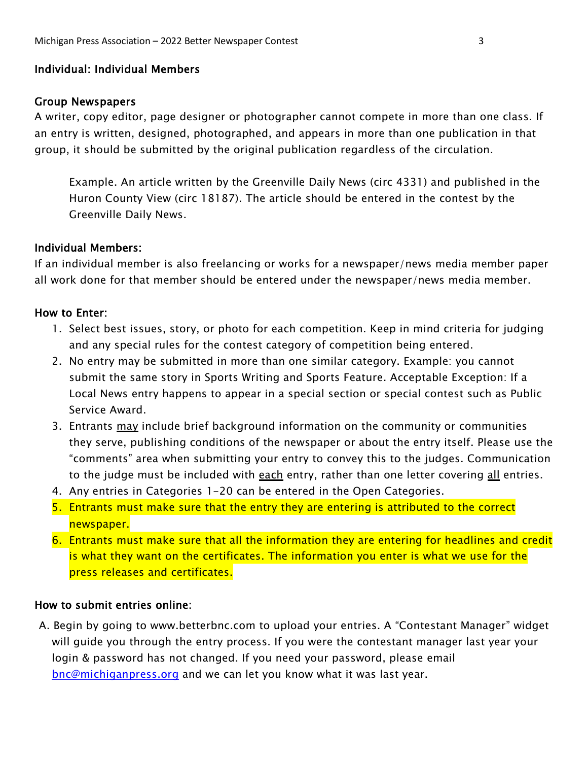#### Individual: Individual Members

#### Group Newspapers

A writer, copy editor, page designer or photographer cannot compete in more than one class. If an entry is written, designed, photographed, and appears in more than one publication in that group, it should be submitted by the original publication regardless of the circulation.

Example. An article written by the Greenville Daily News (circ 4331) and published in the Huron County View (circ 18187). The article should be entered in the contest by the Greenville Daily News.

#### Individual Members:

If an individual member is also freelancing or works for a newspaper/news media member paper all work done for that member should be entered under the newspaper/news media member.

#### How to Enter:

- 1. Select best issues, story, or photo for each competition. Keep in mind criteria for judging and any special rules for the contest category of competition being entered.
- 2. No entry may be submitted in more than one similar category. Example: you cannot submit the same story in Sports Writing and Sports Feature. Acceptable Exception: If a Local News entry happens to appear in a special section or special contest such as Public Service Award.
- 3. Entrants may include brief background information on the community or communities they serve, publishing conditions of the newspaper or about the entry itself. Please use the "comments" area when submitting your entry to convey this to the judges. Communication to the judge must be included with each entry, rather than one letter covering all entries.
- 4. Any entries in Categories 1-20 can be entered in the Open Categories.
- 5. Entrants must make sure that the entry they are entering is attributed to the correct newspaper.
- 6. Entrants must make sure that all the information they are entering for headlines and credit is what they want on the certificates. The information you enter is what we use for the press releases and certificates.

#### How to submit entries online:

A. Begin by going to www.betterbnc.com to upload your entries. A "Contestant Manager" widget will guide you through the entry process. If you were the contestant manager last year your login & password has not changed. If you need your password, please email [bnc@michiganpress.org](mailto:bnc@michiganpress.org) and we can let you know what it was last year.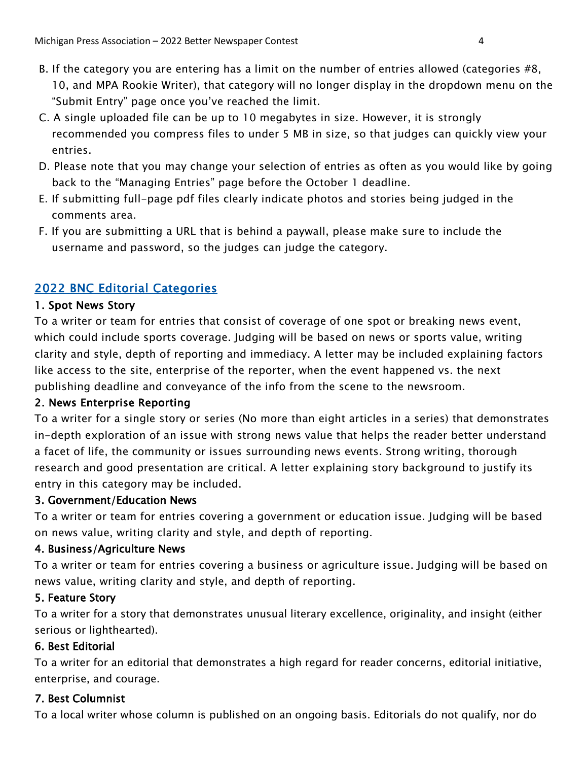- B. If the category you are entering has a limit on the number of entries allowed (categories #8, 10, and MPA Rookie Writer), that category will no longer display in the dropdown menu on the "Submit Entry" page once you've reached the limit.
- C. A single uploaded file can be up to 10 megabytes in size. However, it is strongly recommended you compress files to under 5 MB in size, so that judges can quickly view your entries.
- D. Please note that you may change your selection of entries as often as you would like by going back to the "Managing Entries" page before the October 1 deadline.
- E. If submitting full-page pdf files clearly indicate photos and stories being judged in the comments area.
- F. If you are submitting a URL that is behind a paywall, please make sure to include the username and password, so the judges can judge the category.

# 2022 BNC Editorial Categories

#### 1. Spot News Story

To a writer or team for entries that consist of coverage of one spot or breaking news event, which could include sports coverage. Judging will be based on news or sports value, writing clarity and style, depth of reporting and immediacy. A letter may be included explaining factors like access to the site, enterprise of the reporter, when the event happened vs. the next publishing deadline and conveyance of the info from the scene to the newsroom.

#### 2. News Enterprise Reporting

To a writer for a single story or series (No more than eight articles in a series) that demonstrates in-depth exploration of an issue with strong news value that helps the reader better understand a facet of life, the community or issues surrounding news events. Strong writing, thorough research and good presentation are critical. A letter explaining story background to justify its entry in this category may be included.

#### 3. Government/Education News

To a writer or team for entries covering a government or education issue. Judging will be based on news value, writing clarity and style, and depth of reporting.

#### 4. Business/Agriculture News

To a writer or team for entries covering a business or agriculture issue. Judging will be based on news value, writing clarity and style, and depth of reporting.

#### 5. Feature Story

To a writer for a story that demonstrates unusual literary excellence, originality, and insight (either serious or lighthearted).

#### 6. Best Editorial

To a writer for an editorial that demonstrates a high regard for reader concerns, editorial initiative, enterprise, and courage.

#### 7. Best Columnist

To a local writer whose column is published on an ongoing basis. Editorials do not qualify, nor do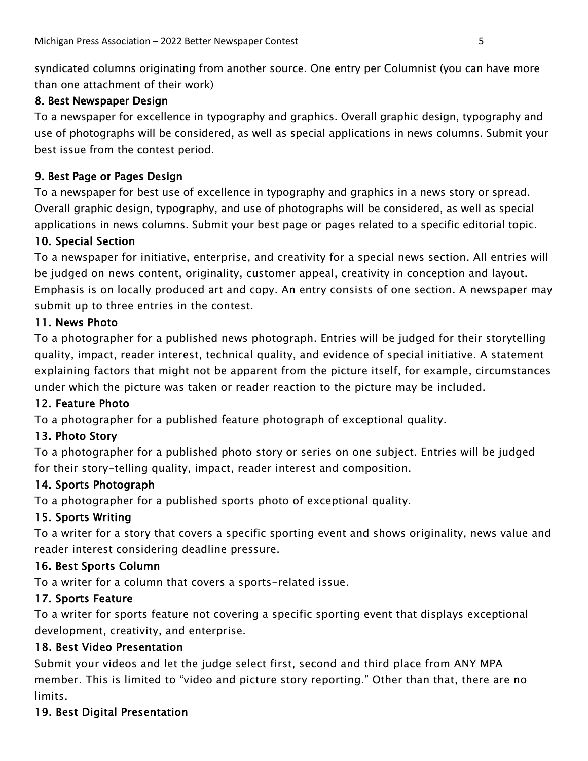syndicated columns originating from another source. One entry per Columnist (you can have more than one attachment of their work)

## 8. Best Newspaper Design

To a newspaper for excellence in typography and graphics. Overall graphic design, typography and use of photographs will be considered, as well as special applications in news columns. Submit your best issue from the contest period.

## 9. Best Page or Pages Design

To a newspaper for best use of excellence in typography and graphics in a news story or spread. Overall graphic design, typography, and use of photographs will be considered, as well as special applications in news columns. Submit your best page or pages related to a specific editorial topic.

## 10. Special Section

To a newspaper for initiative, enterprise, and creativity for a special news section. All entries will be judged on news content, originality, customer appeal, creativity in conception and layout. Emphasis is on locally produced art and copy. An entry consists of one section. A newspaper may submit up to three entries in the contest.

## 11. News Photo

To a photographer for a published news photograph. Entries will be judged for their storytelling quality, impact, reader interest, technical quality, and evidence of special initiative. A statement explaining factors that might not be apparent from the picture itself, for example, circumstances under which the picture was taken or reader reaction to the picture may be included.

# 12. Feature Photo

To a photographer for a published feature photograph of exceptional quality.

# 13. Photo Story

To a photographer for a published photo story or series on one subject. Entries will be judged for their story-telling quality, impact, reader interest and composition.

#### 14. Sports Photograph

To a photographer for a published sports photo of exceptional quality.

#### 15. Sports Writing

To a writer for a story that covers a specific sporting event and shows originality, news value and reader interest considering deadline pressure.

# 16. Best Sports Column

To a writer for a column that covers a sports-related issue.

# 17. Sports Feature

To a writer for sports feature not covering a specific sporting event that displays exceptional development, creativity, and enterprise.

#### 18. Best Video Presentation

Submit your videos and let the judge select first, second and third place from ANY MPA member. This is limited to "video and picture story reporting." Other than that, there are no limits.

# 19. Best Digital Presentation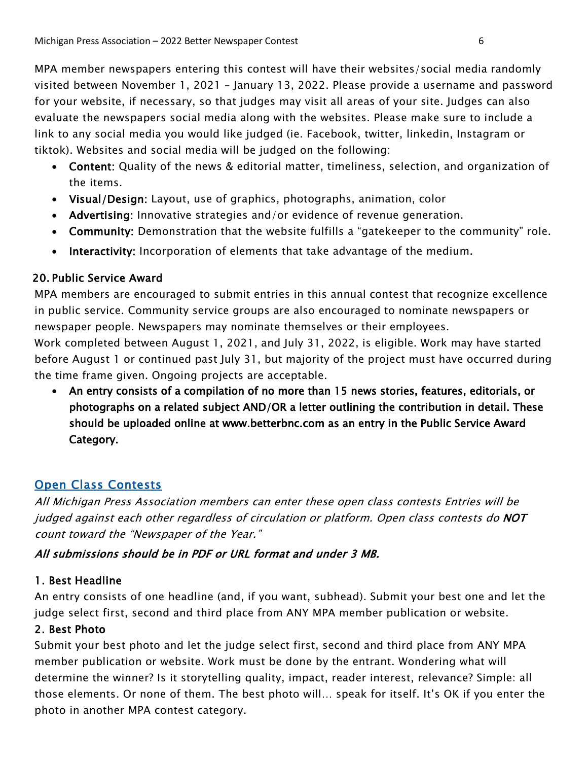MPA member newspapers entering this contest will have their websites/social media randomly visited between November 1, 2021 – January 13, 2022. Please provide a username and password for your website, if necessary, so that judges may visit all areas of your site. Judges can also evaluate the newspapers social media along with the websites. Please make sure to include a link to any social media you would like judged (ie. Facebook, twitter, linkedin, Instagram or tiktok). Websites and social media will be judged on the following:

- Content: Quality of the news & editorial matter, timeliness, selection, and organization of the items.
- Visual/Design: Layout, use of graphics, photographs, animation, color
- Advertising: Innovative strategies and/or evidence of revenue generation.
- Community: Demonstration that the website fulfills a "gatekeeper to the community" role.
- Interactivity: Incorporation of elements that take advantage of the medium.

# 20. Public Service Award

MPA members are encouraged to submit entries in this annual contest that recognize excellence in public service. Community service groups are also encouraged to nominate newspapers or newspaper people. Newspapers may nominate themselves or their employees.

Work completed between August 1, 2021, and July 31, 2022, is eligible. Work may have started before August 1 or continued past July 31, but majority of the project must have occurred during the time frame given. Ongoing projects are acceptable.

• An entry consists of a compilation of no more than 15 news stories, features, editorials, or photographs on a related subject AND/OR a letter outlining the contribution in detail. These should be uploaded online at www.betterbnc.com as an entry in the Public Service Award Category.

# **Open Class Contests**

All Michigan Press Association members can enter these open class contests Entries will be judged against each other regardless of circulation or platform. Open class contests do NOT count toward the "Newspaper of the Year."

# All submissions should be in PDF or URL format and under 3 MB.

# 1. Best Headline

An entry consists of one headline (and, if you want, subhead). Submit your best one and let the judge select first, second and third place from ANY MPA member publication or website.

# 2. Best Photo

Submit your best photo and let the judge select first, second and third place from ANY MPA member publication or website. Work must be done by the entrant. Wondering what will determine the winner? Is it storytelling quality, impact, reader interest, relevance? Simple: all those elements. Or none of them. The best photo will… speak for itself. It's OK if you enter the photo in another MPA contest category.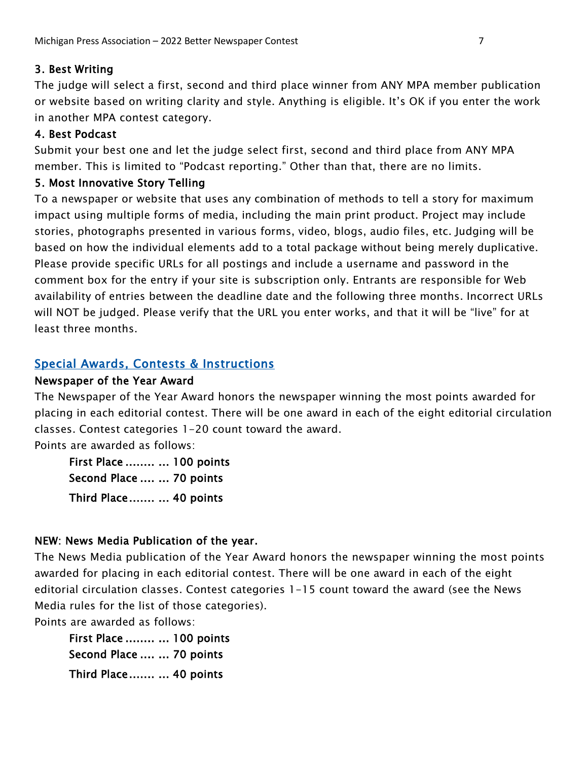# 3. Best Writing

The judge will select a first, second and third place winner from ANY MPA member publication or website based on writing clarity and style. Anything is eligible. It's OK if you enter the work in another MPA contest category.

## 4. Best Podcast

Submit your best one and let the judge select first, second and third place from ANY MPA member. This is limited to "Podcast reporting." Other than that, there are no limits.

## 5. Most Innovative Story Telling

To a newspaper or website that uses any combination of methods to tell a story for maximum impact using multiple forms of media, including the main print product. Project may include stories, photographs presented in various forms, video, blogs, audio files, etc. Judging will be based on how the individual elements add to a total package without being merely duplicative. Please provide specific URLs for all postings and include a username and password in the comment box for the entry if your site is subscription only. Entrants are responsible for Web availability of entries between the deadline date and the following three months. Incorrect URLs will NOT be judged. Please verify that the URL you enter works, and that it will be "live" for at least three months.

# Special Awards, Contests & Instructions

#### Newspaper of the Year Award

The Newspaper of the Year Award honors the newspaper winning the most points awarded for placing in each editorial contest. There will be one award in each of the eight editorial circulation classes. Contest categories 1-20 count toward the award.

Points are awarded as follows:

First Place ........ ... 100 points Second Place .... ... 70 points Third Place ....... ... 40 points

# NEW: News Media Publication of the year.

The News Media publication of the Year Award honors the newspaper winning the most points awarded for placing in each editorial contest. There will be one award in each of the eight editorial circulation classes. Contest categories 1-15 count toward the award (see the News Media rules for the list of those categories).

Points are awarded as follows:

First Place ........ ... 100 points Second Place .... ... 70 points Third Place ....... ... 40 points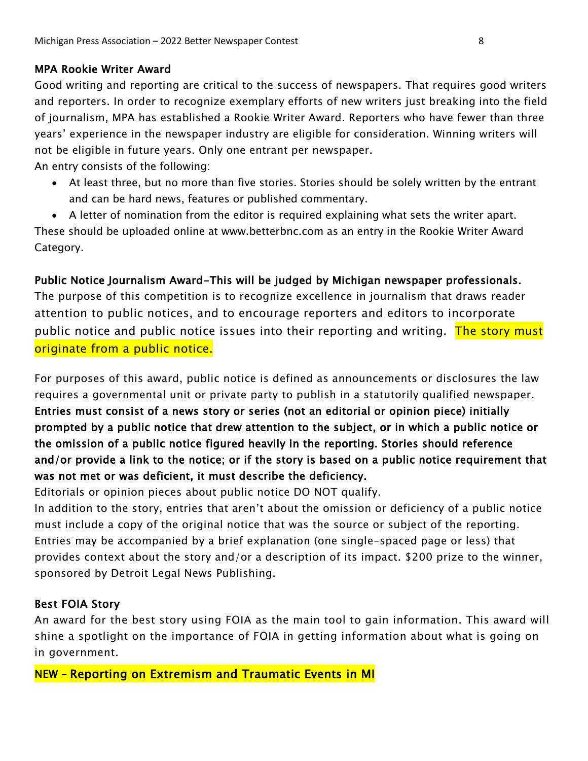# MPA Rookie Writer Award

Good writing and reporting are critical to the success of newspapers. That requires good writers and reporters. In order to recognize exemplary efforts of new writers just breaking into the field of journalism, MPA has established a Rookie Writer Award. Reporters who have fewer than three years' experience in the newspaper industry are eligible for consideration. Winning writers will not be eligible in future years. Only one entrant per newspaper.

An entry consists of the following:

• At least three, but no more than five stories. Stories should be solely written by the entrant and can be hard news, features or published commentary.

• A letter of nomination from the editor is required explaining what sets the writer apart. These should be uploaded online at www.betterbnc.com as an entry in the Rookie Writer Award Category.

# Public Notice Journalism Award-This will be judged by Michigan newspaper professionals.

The purpose of this competition is to recognize excellence in journalism that draws reader attention to public notices, and to encourage reporters and editors to incorporate public notice and public notice issues into their reporting and writing. The story must originate from a public notice.

For purposes of this award, public notice is defined as announcements or disclosures the law requires a governmental unit or private party to publish in a statutorily qualified newspaper. Entries must consist of a news story or series (not an editorial or opinion piece) initially prompted by a public notice that drew attention to the subject, or in which a public notice or the omission of a public notice figured heavily in the reporting. Stories should reference and/or provide a link to the notice; or if the story is based on a public notice requirement that was not met or was deficient, it must describe the deficiency.

Editorials or opinion pieces about public notice DO NOT qualify.

In addition to the story, entries that aren't about the omission or deficiency of a public notice must include a copy of the original notice that was the source or subject of the reporting. Entries may be accompanied by a brief explanation (one single-spaced page or less) that provides context about the story and/or a description of its impact. \$200 prize to the winner, sponsored by Detroit Legal News Publishing.

# Best FOIA Story

An award for the best story using FOIA as the main tool to gain information. This award will shine a spotlight on the importance of FOIA in getting information about what is going on in government.

NEW – Reporting on Extremism and Traumatic Events in MI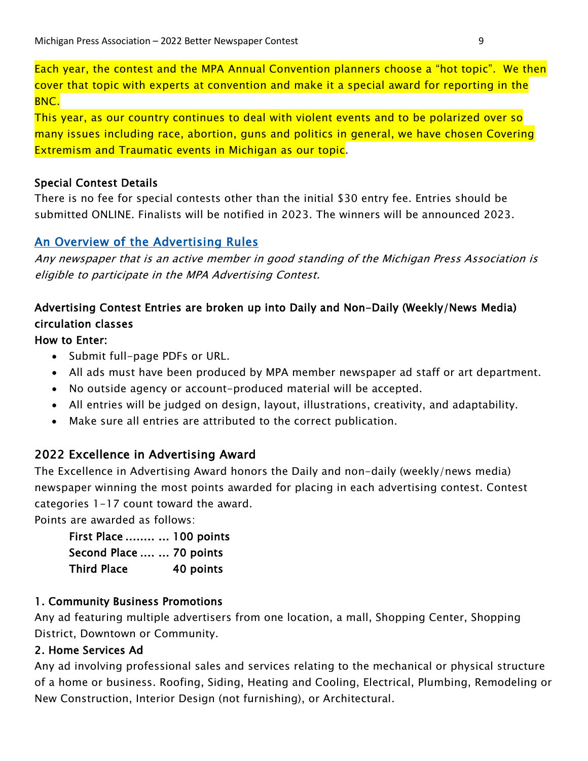Each year, the contest and the MPA Annual Convention planners choose a "hot topic". We then cover that topic with experts at convention and make it a special award for reporting in the BNC.

This year, as our country continues to deal with violent events and to be polarized over so many issues including race, abortion, guns and politics in general, we have chosen Covering Extremism and Traumatic events in Michigan as our topic.

## Special Contest Details

There is no fee for special contests other than the initial \$30 entry fee. Entries should be submitted ONLINE. Finalists will be notified in 2023. The winners will be announced 2023.

# An Overview of the Advertising Rules

Any newspaper that is an active member in good standing of the Michigan Press Association is eligible to participate in the MPA Advertising Contest.

# Advertising Contest Entries are broken up into Daily and Non-Daily (Weekly/News Media) circulation classes

## How to Enter:

- Submit full-page PDFs or URL.
- All ads must have been produced by MPA member newspaper ad staff or art department.
- No outside agency or account-produced material will be accepted.
- All entries will be judged on design, layout, illustrations, creativity, and adaptability.
- Make sure all entries are attributed to the correct publication.

# 2022 Excellence in Advertising Award

The Excellence in Advertising Award honors the Daily and non-daily (weekly/news media) newspaper winning the most points awarded for placing in each advertising contest. Contest categories 1-17 count toward the award.

Points are awarded as follows:

| First Place   100 points |           |
|--------------------------|-----------|
| Second Place   70 points |           |
| Third Place              | 40 points |

#### 1. Community Business Promotions

Any ad featuring multiple advertisers from one location, a mall, Shopping Center, Shopping District, Downtown or Community.

# 2. Home Services Ad

Any ad involving professional sales and services relating to the mechanical or physical structure of a home or business. Roofing, Siding, Heating and Cooling, Electrical, Plumbing, Remodeling or New Construction, Interior Design (not furnishing), or Architectural.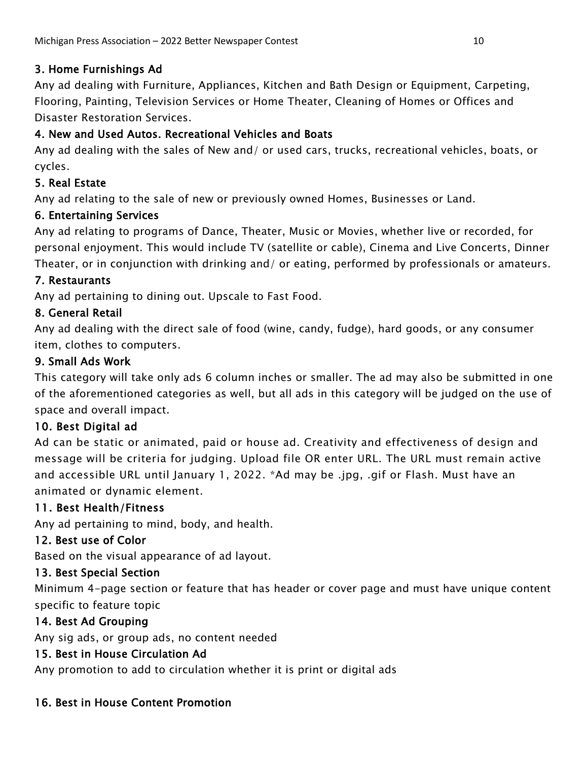# 3. Home Furnishings Ad

Any ad dealing with Furniture, Appliances, Kitchen and Bath Design or Equipment, Carpeting, Flooring, Painting, Television Services or Home Theater, Cleaning of Homes or Offices and Disaster Restoration Services.

# 4. New and Used Autos. Recreational Vehicles and Boats

Any ad dealing with the sales of New and/ or used cars, trucks, recreational vehicles, boats, or cycles.

# 5. Real Estate

Any ad relating to the sale of new or previously owned Homes, Businesses or Land.

# 6. Entertaining Services

Any ad relating to programs of Dance, Theater, Music or Movies, whether live or recorded, for personal enjoyment. This would include TV (satellite or cable), Cinema and Live Concerts, Dinner Theater, or in conjunction with drinking and/ or eating, performed by professionals or amateurs.

# 7. Restaurants

Any ad pertaining to dining out. Upscale to Fast Food.

# 8. General Retail

Any ad dealing with the direct sale of food (wine, candy, fudge), hard goods, or any consumer item, clothes to computers.

# 9. Small Ads Work

This category will take only ads 6 column inches or smaller. The ad may also be submitted in one of the aforementioned categories as well, but all ads in this category will be judged on the use of space and overall impact.

# 10. Best Digital ad

Ad can be static or animated, paid or house ad. Creativity and effectiveness of design and message will be criteria for judging. Upload file OR enter URL. The URL must remain active and accessible URL until January 1, 2022. \*Ad may be .jpg, .gif or Flash. Must have an animated or dynamic element.

# 11. Best Health/Fitness

Any ad pertaining to mind, body, and health.

# 12. Best use of Color

Based on the visual appearance of ad layout.

# 13. Best Special Section

Minimum 4-page section or feature that has header or cover page and must have unique content specific to feature topic

# 14. Best Ad Grouping

Any sig ads, or group ads, no content needed

# 15. Best in House Circulation Ad

Any promotion to add to circulation whether it is print or digital ads

# 16. Best in House Content Promotion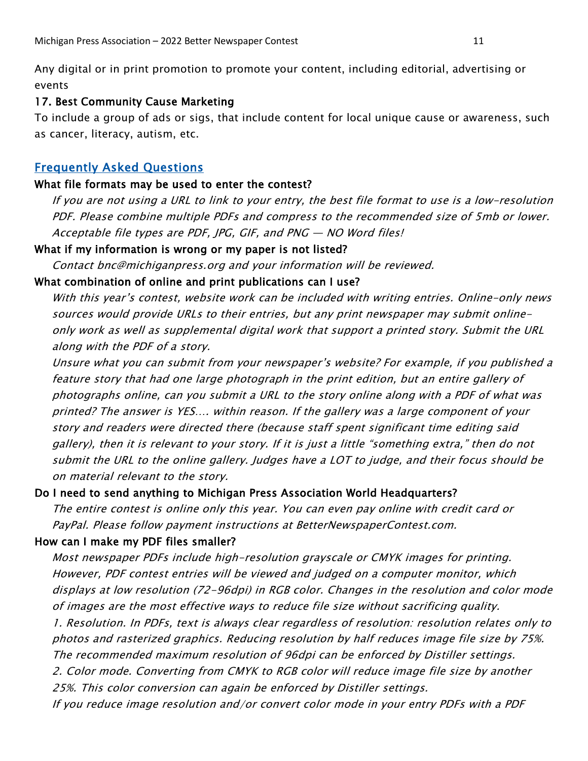Any digital or in print promotion to promote your content, including editorial, advertising or events

#### 17. Best Community Cause Marketing

To include a group of ads or sigs, that include content for local unique cause or awareness, such as cancer, literacy, autism, etc.

#### Frequently Asked Questions

#### What file formats may be used to enter the contest?

If you are not using a URL to link to your entry, the best file format to use is a low-resolution PDF. Please combine multiple PDFs and compress to the recommended size of 5mb or lower. Acceptable file types are PDF, JPG, GIF, and PNG — NO Word files!

#### What if my information is wrong or my paper is not listed?

Contact bnc@michiganpress.org and your information will be reviewed.

#### What combination of online and print publications can I use?

With this year's contest, website work can be included with writing entries. Online-only news sources would provide URLs to their entries, but any print newspaper may submit onlineonly work as well as supplemental digital work that support a printed story. Submit the URL along with the PDF of a story.

Unsure what you can submit from your newspaper's website? For example, if you published a feature story that had one large photograph in the print edition, but an entire gallery of photographs online, can you submit a URL to the story online along with a PDF of what was printed? The answer is YES…. within reason. If the gallery was a large component of your story and readers were directed there (because staff spent significant time editing said gallery), then it is relevant to your story. If it is just a little "something extra," then do not submit the URL to the online gallery. Judges have a LOT to judge, and their focus should be on material relevant to the story.

#### Do I need to send anything to Michigan Press Association World Headquarters?

The entire contest is online only this year. You can even pay online with credit card or PayPal. Please follow payment instructions at BetterNewspaperContest.com.

#### How can I make my PDF files smaller?

Most newspaper PDFs include high-resolution grayscale or CMYK images for printing. However, PDF contest entries will be viewed and judged on a computer monitor, which displays at low resolution (72-96dpi) in RGB color. Changes in the resolution and color mode of images are the most effective ways to reduce file size without sacrificing quality. 1. Resolution. In PDFs, text is always clear regardless of resolution: resolution relates only to photos and rasterized graphics. Reducing resolution by half reduces image file size by 75%. The recommended maximum resolution of 96dpi can be enforced by Distiller settings. 2. Color mode. Converting from CMYK to RGB color will reduce image file size by another

25%. This color conversion can again be enforced by Distiller settings.

If you reduce image resolution and/or convert color mode in your entry PDFs with a PDF